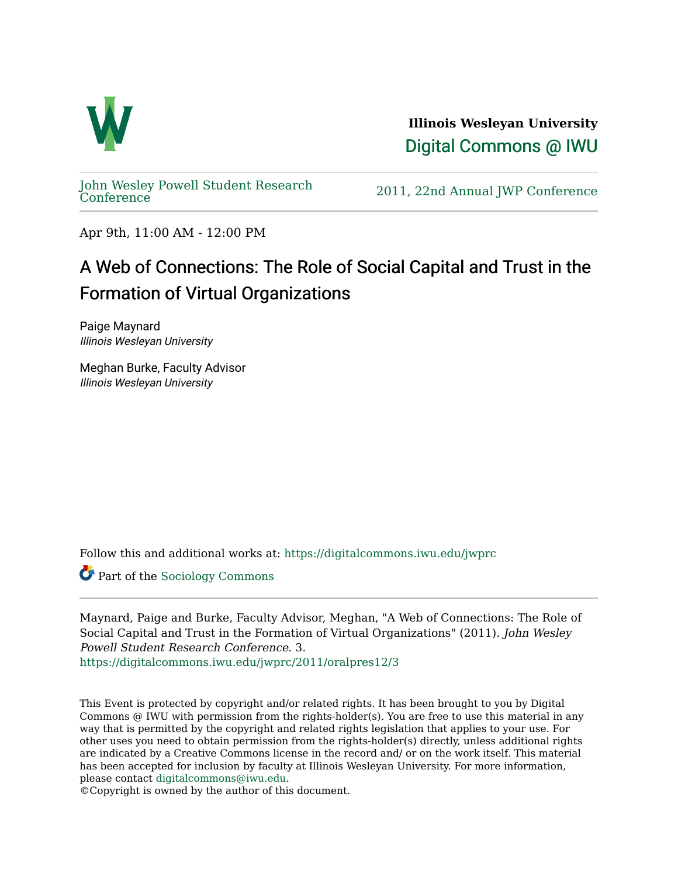

**Illinois Wesleyan University**  [Digital Commons @ IWU](https://digitalcommons.iwu.edu/) 

[John Wesley Powell Student Research](https://digitalcommons.iwu.edu/jwprc) 

2011, 22nd Annual JWP [Conference](https://digitalcommons.iwu.edu/jwprc)

Apr 9th, 11:00 AM - 12:00 PM

## A Web of Connections: The Role of Social Capital and Trust in the Formation of Virtual Organizations

Paige Maynard Illinois Wesleyan University

Meghan Burke, Faculty Advisor Illinois Wesleyan University

Follow this and additional works at: [https://digitalcommons.iwu.edu/jwprc](https://digitalcommons.iwu.edu/jwprc?utm_source=digitalcommons.iwu.edu%2Fjwprc%2F2011%2Foralpres12%2F3&utm_medium=PDF&utm_campaign=PDFCoverPages) 

Part of the [Sociology Commons](http://network.bepress.com/hgg/discipline/416?utm_source=digitalcommons.iwu.edu%2Fjwprc%2F2011%2Foralpres12%2F3&utm_medium=PDF&utm_campaign=PDFCoverPages) 

Maynard, Paige and Burke, Faculty Advisor, Meghan, "A Web of Connections: The Role of Social Capital and Trust in the Formation of Virtual Organizations" (2011). John Wesley Powell Student Research Conference. 3. [https://digitalcommons.iwu.edu/jwprc/2011/oralpres12/3](https://digitalcommons.iwu.edu/jwprc/2011/oralpres12/3?utm_source=digitalcommons.iwu.edu%2Fjwprc%2F2011%2Foralpres12%2F3&utm_medium=PDF&utm_campaign=PDFCoverPages) 

This Event is protected by copyright and/or related rights. It has been brought to you by Digital Commons @ IWU with permission from the rights-holder(s). You are free to use this material in any way that is permitted by the copyright and related rights legislation that applies to your use. For other uses you need to obtain permission from the rights-holder(s) directly, unless additional rights are indicated by a Creative Commons license in the record and/ or on the work itself. This material has been accepted for inclusion by faculty at Illinois Wesleyan University. For more information, please contact [digitalcommons@iwu.edu.](mailto:digitalcommons@iwu.edu)

©Copyright is owned by the author of this document.